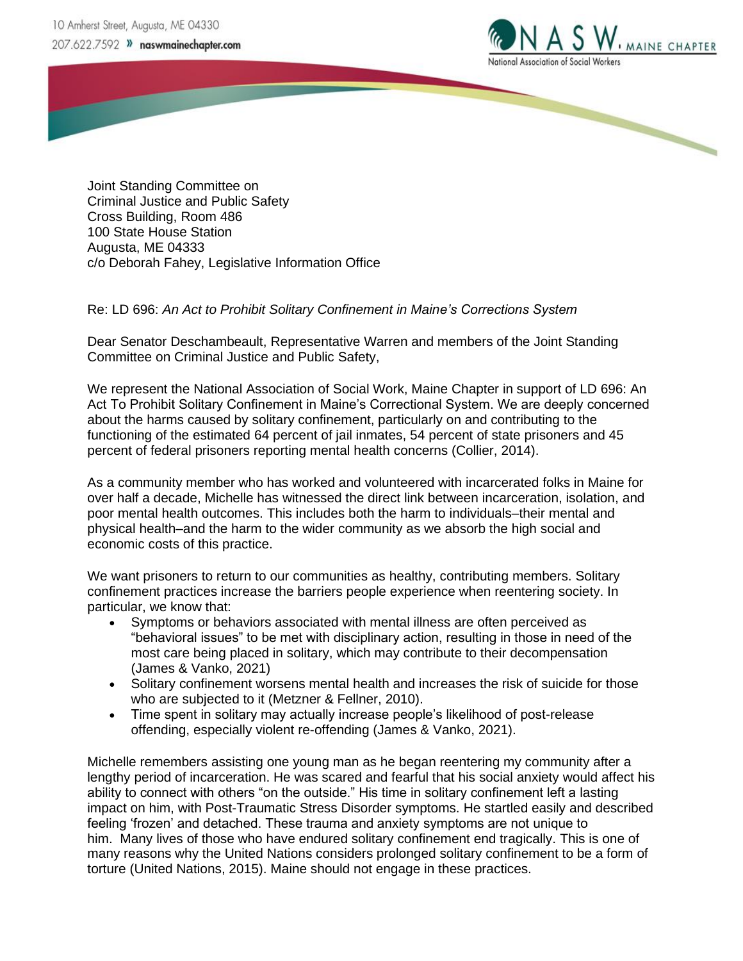10 Amherst Street, Augusta, ME 04330 207.622.7592 >> naswmainechapter.com



Joint Standing Committee on Criminal Justice and Public Safety Cross Building, Room 486 100 State House Station Augusta, ME 04333 c/o Deborah Fahey, Legislative Information Office

Re: LD 696: *An Act to Prohibit Solitary Confinement in Maine's Corrections System*

Dear Senator Deschambeault, Representative Warren and members of the Joint Standing Committee on Criminal Justice and Public Safety,

We represent the National Association of Social Work, Maine Chapter in support of LD 696: An Act To Prohibit Solitary Confinement in Maine's Correctional System. We are deeply concerned about the harms caused by solitary confinement, particularly on and contributing to the functioning of the estimated 64 percent of jail inmates, 54 percent of state prisoners and 45 percent of federal prisoners reporting mental health concerns (Collier, 2014).

As a community member who has worked and volunteered with incarcerated folks in Maine for over half a decade, Michelle has witnessed the direct link between incarceration, isolation, and poor mental health outcomes. This includes both the harm to individuals–their mental and physical health–and the harm to the wider community as we absorb the high social and economic costs of this practice.

We want prisoners to return to our communities as healthy, contributing members. Solitary confinement practices increase the barriers people experience when reentering society. In particular, we know that:

- Symptoms or behaviors associated with mental illness are often perceived as "behavioral issues" to be met with disciplinary action, resulting in those in need of the most care being placed in solitary, which may contribute to their decompensation (James & Vanko, 2021)
- Solitary confinement worsens mental health and increases the risk of suicide for those who are subjected to it (Metzner & Fellner, 2010).
- Time spent in solitary may actually increase people's likelihood of post-release offending, especially violent re-offending (James & Vanko, 2021).

Michelle remembers assisting one young man as he began reentering my community after a lengthy period of incarceration. He was scared and fearful that his social anxiety would affect his ability to connect with others "on the outside." His time in solitary confinement left a lasting impact on him, with Post-Traumatic Stress Disorder symptoms. He startled easily and described feeling 'frozen' and detached. These trauma and anxiety symptoms are not unique to him. Many lives of those who have endured solitary confinement end tragically. This is one of many reasons why the United Nations considers prolonged solitary confinement to be a form of torture (United Nations, 2015). Maine should not engage in these practices.